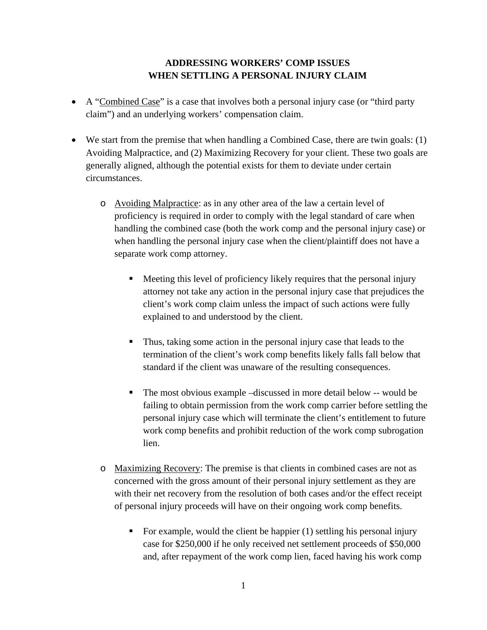## **ADDRESSING WORKERS' COMP ISSUES WHEN SETTLING A PERSONAL INJURY CLAIM**

- A "Combined Case" is a case that involves both a personal injury case (or "third party claim") and an underlying workers' compensation claim.
- We start from the premise that when handling a Combined Case, there are twin goals: (1) Avoiding Malpractice, and (2) Maximizing Recovery for your client. These two goals are generally aligned, although the potential exists for them to deviate under certain circumstances.
	- o Avoiding Malpractice: as in any other area of the law a certain level of proficiency is required in order to comply with the legal standard of care when handling the combined case (both the work comp and the personal injury case) or when handling the personal injury case when the client/plaintiff does not have a separate work comp attorney.
		- Meeting this level of proficiency likely requires that the personal injury attorney not take any action in the personal injury case that prejudices the client's work comp claim unless the impact of such actions were fully explained to and understood by the client.
		- Thus, taking some action in the personal injury case that leads to the termination of the client's work comp benefits likely falls fall below that standard if the client was unaware of the resulting consequences.
		- The most obvious example –discussed in more detail below -- would be failing to obtain permission from the work comp carrier before settling the personal injury case which will terminate the client's entitlement to future work comp benefits and prohibit reduction of the work comp subrogation lien.
	- o Maximizing Recovery: The premise is that clients in combined cases are not as concerned with the gross amount of their personal injury settlement as they are with their net recovery from the resolution of both cases and/or the effect receipt of personal injury proceeds will have on their ongoing work comp benefits.
		- For example, would the client be happier  $(1)$  settling his personal injury case for \$250,000 if he only received net settlement proceeds of \$50,000 and, after repayment of the work comp lien, faced having his work comp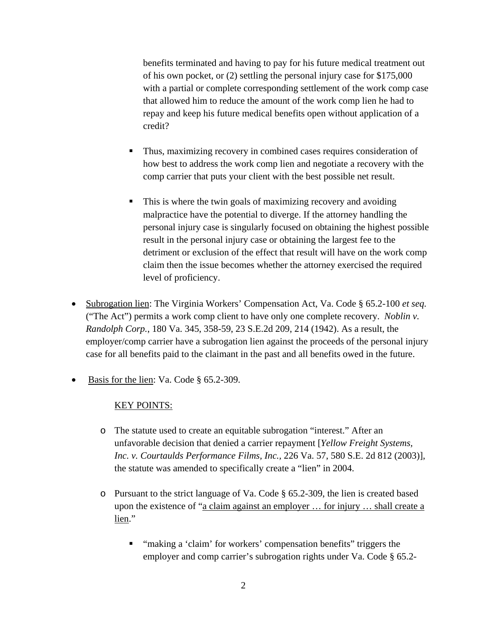benefits terminated and having to pay for his future medical treatment out of his own pocket, or (2) settling the personal injury case for \$175,000 with a partial or complete corresponding settlement of the work comp case that allowed him to reduce the amount of the work comp lien he had to repay and keep his future medical benefits open without application of a credit?

- Thus, maximizing recovery in combined cases requires consideration of how best to address the work comp lien and negotiate a recovery with the comp carrier that puts your client with the best possible net result.
- This is where the twin goals of maximizing recovery and avoiding malpractice have the potential to diverge. If the attorney handling the personal injury case is singularly focused on obtaining the highest possible result in the personal injury case or obtaining the largest fee to the detriment or exclusion of the effect that result will have on the work comp claim then the issue becomes whether the attorney exercised the required level of proficiency.
- Subrogation lien: The Virginia Workers' Compensation Act, Va. Code § 65.2-100 *et seq.* ("The Act") permits a work comp client to have only one complete recovery. *Noblin v. Randolph Corp.*, 180 Va. 345, 358-59, 23 S.E.2d 209, 214 (1942). As a result, the employer/comp carrier have a subrogation lien against the proceeds of the personal injury case for all benefits paid to the claimant in the past and all benefits owed in the future.
- Basis for the lien: Va. Code § 65.2-309.

## KEY POINTS:

- o The statute used to create an equitable subrogation "interest." After an unfavorable decision that denied a carrier repayment [*Yellow Freight Systems, Inc. v. Courtaulds Performance Films, Inc.,* 226 Va. 57, 580 S.E. 2d 812 (2003)], the statute was amended to specifically create a "lien" in 2004.
- $\circ$  Pursuant to the strict language of Va. Code § 65.2-309, the lien is created based upon the existence of "a claim against an employer ... for injury ... shall create a lien."
	- **"** "making a 'claim' for workers' compensation benefits" triggers the employer and comp carrier's subrogation rights under Va. Code § 65.2-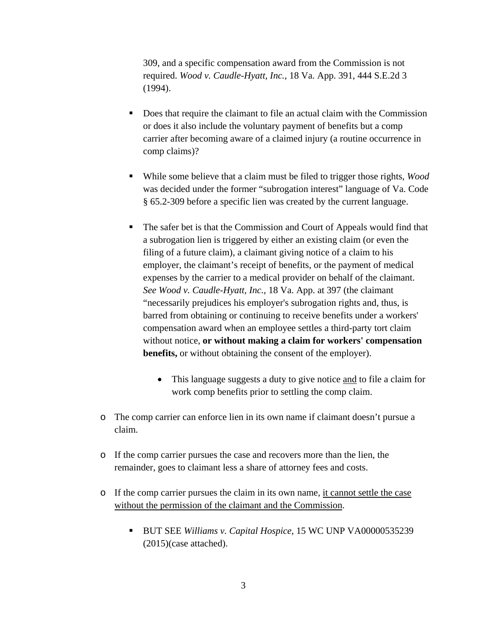309, and a specific compensation award from the Commission is not required. *Wood v. Caudle-Hyatt, Inc.*, 18 Va. App. 391, 444 S.E.2d 3 (1994).

- Does that require the claimant to file an actual claim with the Commission or does it also include the voluntary payment of benefits but a comp carrier after becoming aware of a claimed injury (a routine occurrence in comp claims)?
- While some believe that a claim must be filed to trigger those rights, *Wood* was decided under the former "subrogation interest" language of Va. Code § 65.2-309 before a specific lien was created by the current language.
- The safer bet is that the Commission and Court of Appeals would find that a subrogation lien is triggered by either an existing claim (or even the filing of a future claim), a claimant giving notice of a claim to his employer, the claimant's receipt of benefits, or the payment of medical expenses by the carrier to a medical provider on behalf of the claimant. *See Wood v. Caudle-Hyatt, Inc.*, 18 Va. App. at 397 (the claimant "necessarily prejudices his employer's subrogation rights and, thus, is barred from obtaining or continuing to receive benefits under a workers' compensation award when an employee settles a third-party tort claim without notice, **or without making a claim for workers' compensation benefits,** or without obtaining the consent of the employer).
	- This language suggests a duty to give notice and to file a claim for work comp benefits prior to settling the comp claim.
- o The comp carrier can enforce lien in its own name if claimant doesn't pursue a claim.
- o If the comp carrier pursues the case and recovers more than the lien, the remainder, goes to claimant less a share of attorney fees and costs.
- o If the comp carrier pursues the claim in its own name, it cannot settle the case without the permission of the claimant and the Commission.
	- BUT SEE *Williams v. Capital Hospice*, 15 WC UNP VA00000535239 (2015)(case attached).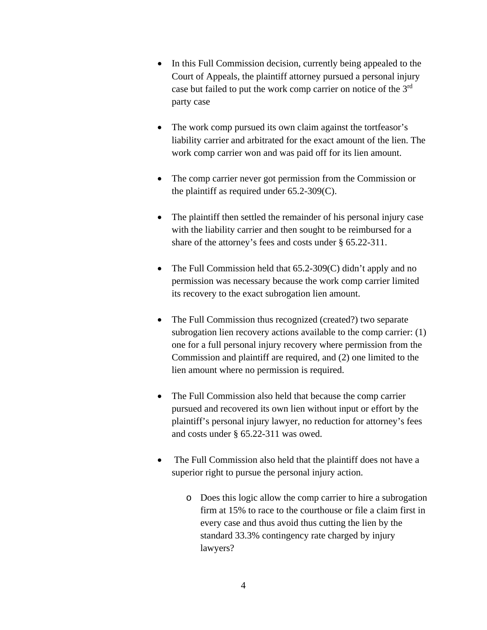- In this Full Commission decision, currently being appealed to the Court of Appeals, the plaintiff attorney pursued a personal injury case but failed to put the work comp carrier on notice of the 3rd party case
- The work comp pursued its own claim against the tortfeasor's liability carrier and arbitrated for the exact amount of the lien. The work comp carrier won and was paid off for its lien amount.
- The comp carrier never got permission from the Commission or the plaintiff as required under 65.2-309(C).
- The plaintiff then settled the remainder of his personal injury case with the liability carrier and then sought to be reimbursed for a share of the attorney's fees and costs under § 65.22-311.
- The Full Commission held that 65.2-309(C) didn't apply and no permission was necessary because the work comp carrier limited its recovery to the exact subrogation lien amount.
- The Full Commission thus recognized (created?) two separate subrogation lien recovery actions available to the comp carrier: (1) one for a full personal injury recovery where permission from the Commission and plaintiff are required, and (2) one limited to the lien amount where no permission is required.
- The Full Commission also held that because the comp carrier pursued and recovered its own lien without input or effort by the plaintiff's personal injury lawyer, no reduction for attorney's fees and costs under § 65.22-311 was owed.
- The Full Commission also held that the plaintiff does not have a superior right to pursue the personal injury action.
	- o Does this logic allow the comp carrier to hire a subrogation firm at 15% to race to the courthouse or file a claim first in every case and thus avoid thus cutting the lien by the standard 33.3% contingency rate charged by injury lawyers?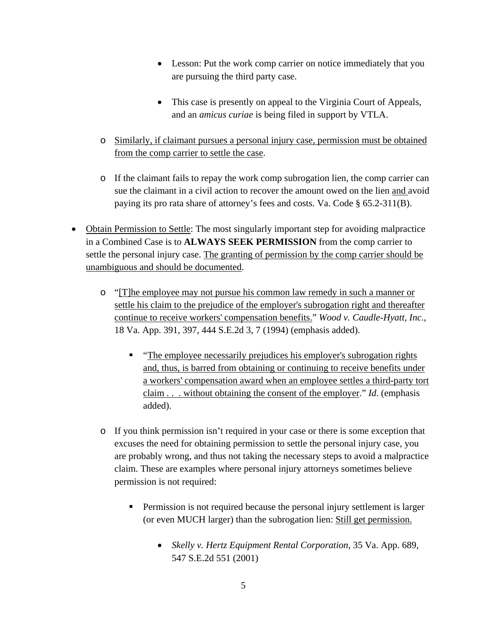- Lesson: Put the work comp carrier on notice immediately that you are pursuing the third party case.
- This case is presently on appeal to the Virginia Court of Appeals, and an *amicus curiae* is being filed in support by VTLA.
- o Similarly, if claimant pursues a personal injury case, permission must be obtained from the comp carrier to settle the case.
- o If the claimant fails to repay the work comp subrogation lien, the comp carrier can sue the claimant in a civil action to recover the amount owed on the lien and avoid paying its pro rata share of attorney's fees and costs. Va. Code § 65.2-311(B).
- Obtain Permission to Settle: The most singularly important step for avoiding malpractice in a Combined Case is to **ALWAYS SEEK PERMISSION** from the comp carrier to settle the personal injury case. The granting of permission by the comp carrier should be unambiguous and should be documented.
	- o "[T]he employee may not pursue his common law remedy in such a manner or settle his claim to the prejudice of the employer's subrogation right and thereafter continue to receive workers' compensation benefits." *Wood v. Caudle-Hyatt, Inc.*, 18 Va. App. 391, 397, 444 S.E.2d 3, 7 (1994) (emphasis added).
		- **The employee necessarily prejudices his employer's subrogation rights** and, thus, is barred from obtaining or continuing to receive benefits under a workers' compensation award when an employee settles a third-party tort claim . . . without obtaining the consent of the employer." *Id*. (emphasis added).
	- o If you think permission isn't required in your case or there is some exception that excuses the need for obtaining permission to settle the personal injury case, you are probably wrong, and thus not taking the necessary steps to avoid a malpractice claim. These are examples where personal injury attorneys sometimes believe permission is not required:
		- **Permission is not required because the personal injury settlement is larger** (or even MUCH larger) than the subrogation lien: Still get permission.
			- *Skelly v. Hertz Equipment Rental Corporation*, 35 Va. App. 689, 547 S.E.2d 551 (2001)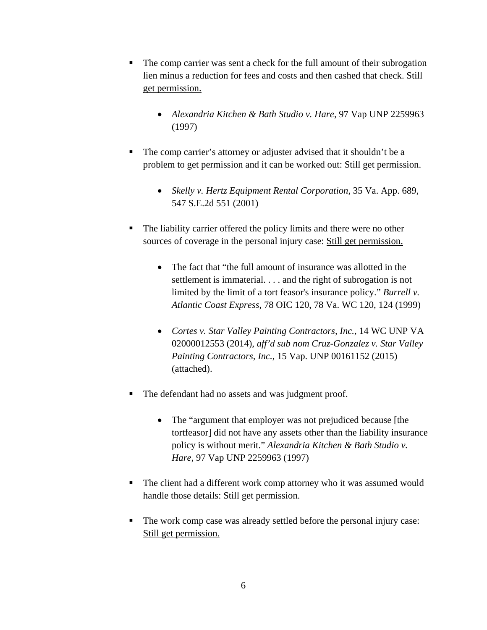- The comp carrier was sent a check for the full amount of their subrogation lien minus a reduction for fees and costs and then cashed that check. Still get permission.
	- *Alexandria Kitchen & Bath Studio v. Hare*, 97 Vap UNP 2259963 (1997)
- The comp carrier's attorney or adjuster advised that it shouldn't be a problem to get permission and it can be worked out: Still get permission.
	- *Skelly v. Hertz Equipment Rental Corporation*, 35 Va. App. 689, 547 S.E.2d 551 (2001)
- The liability carrier offered the policy limits and there were no other sources of coverage in the personal injury case: Still get permission.
	- The fact that "the full amount of insurance was allotted in the settlement is immaterial. . . . and the right of subrogation is not limited by the limit of a tort feasor's insurance policy." *Burrell v. Atlantic Coast Express*, 78 OIC 120, 78 Va. WC 120, 124 (1999)
	- *Cortes v. Star Valley Painting Contractors, Inc.*, 14 WC UNP VA 02000012553 (2014), *aff'd sub nom Cruz-Gonzalez v. Star Valley Painting Contractors, Inc.*, 15 Vap. UNP 00161152 (2015) (attached).
- The defendant had no assets and was judgment proof.
	- The "argument that employer was not prejudiced because [the tortfeasor] did not have any assets other than the liability insurance policy is without merit." *Alexandria Kitchen & Bath Studio v. Hare*, 97 Vap UNP 2259963 (1997)
- The client had a different work comp attorney who it was assumed would handle those details: Still get permission.
- The work comp case was already settled before the personal injury case: Still get permission.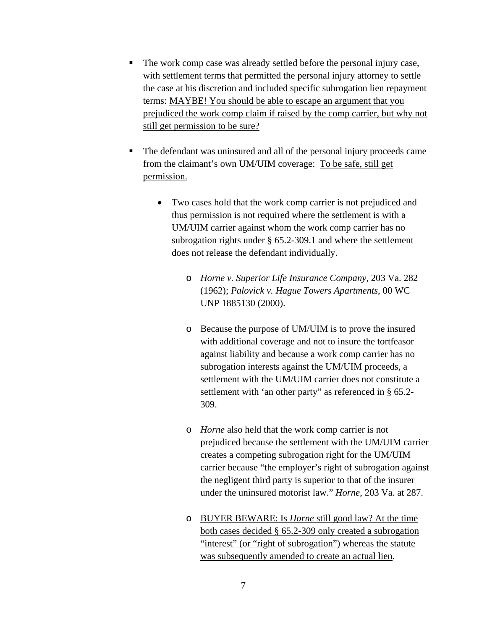- The work comp case was already settled before the personal injury case, with settlement terms that permitted the personal injury attorney to settle the case at his discretion and included specific subrogation lien repayment terms: MAYBE! You should be able to escape an argument that you prejudiced the work comp claim if raised by the comp carrier, but why not still get permission to be sure?
- The defendant was uninsured and all of the personal injury proceeds came from the claimant's own UM/UIM coverage: To be safe, still get permission.
	- Two cases hold that the work comp carrier is not prejudiced and thus permission is not required where the settlement is with a UM/UIM carrier against whom the work comp carrier has no subrogation rights under § 65.2-309.1 and where the settlement does not release the defendant individually.
		- o *Horne v. Superior Life Insurance Company*, 203 Va. 282 (1962); *Palovick v. Hague Towers Apartments*, 00 WC UNP 1885130 (2000).
		- o Because the purpose of UM/UIM is to prove the insured with additional coverage and not to insure the tortfeasor against liability and because a work comp carrier has no subrogation interests against the UM/UIM proceeds, a settlement with the UM/UIM carrier does not constitute a settlement with 'an other party" as referenced in § 65.2- 309.
		- o *Horne* also held that the work comp carrier is not prejudiced because the settlement with the UM/UIM carrier creates a competing subrogation right for the UM/UIM carrier because "the employer's right of subrogation against the negligent third party is superior to that of the insurer under the uninsured motorist law." *Horne*, 203 Va. at 287.
		- o BUYER BEWARE: Is *Horne* still good law? At the time both cases decided § 65.2-309 only created a subrogation "interest" (or "right of subrogation") whereas the statute was subsequently amended to create an actual lien.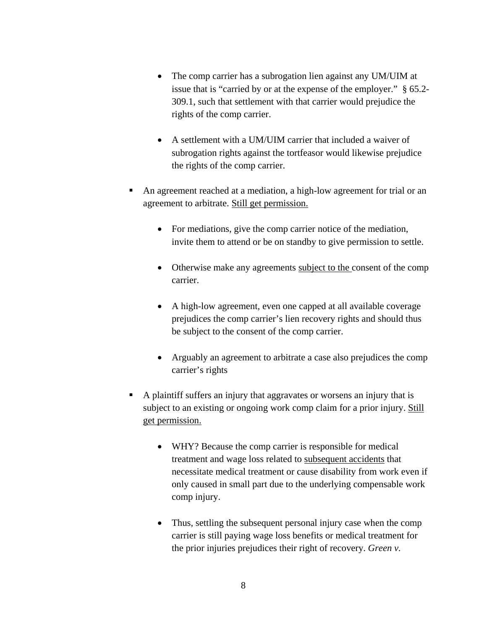- The comp carrier has a subrogation lien against any UM/UIM at issue that is "carried by or at the expense of the employer." § 65.2- 309.1, such that settlement with that carrier would prejudice the rights of the comp carrier.
- A settlement with a UM/UIM carrier that included a waiver of subrogation rights against the tortfeasor would likewise prejudice the rights of the comp carrier.
- An agreement reached at a mediation, a high-low agreement for trial or an agreement to arbitrate. Still get permission.
	- For mediations, give the comp carrier notice of the mediation, invite them to attend or be on standby to give permission to settle.
	- Otherwise make any agreements subject to the consent of the comp carrier.
	- A high-low agreement, even one capped at all available coverage prejudices the comp carrier's lien recovery rights and should thus be subject to the consent of the comp carrier.
	- Arguably an agreement to arbitrate a case also prejudices the comp carrier's rights
- A plaintiff suffers an injury that aggravates or worsens an injury that is subject to an existing or ongoing work comp claim for a prior injury. Still get permission.
	- WHY? Because the comp carrier is responsible for medical treatment and wage loss related to subsequent accidents that necessitate medical treatment or cause disability from work even if only caused in small part due to the underlying compensable work comp injury.
	- Thus, settling the subsequent personal injury case when the comp carrier is still paying wage loss benefits or medical treatment for the prior injuries prejudices their right of recovery. *Green v.*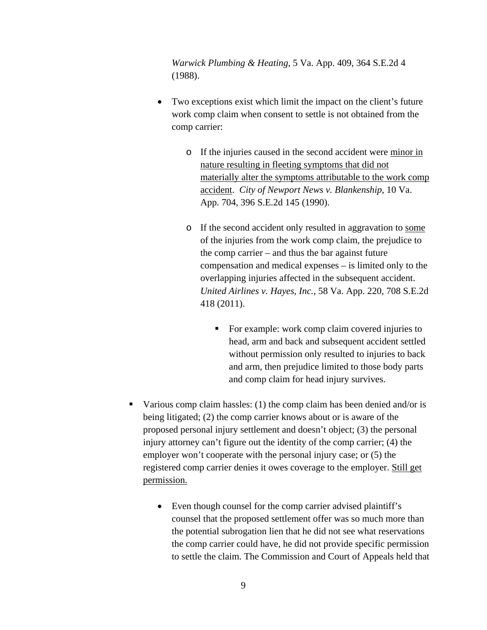*Warwick Plumbing & Heating*, 5 Va. App. 409, 364 S.E.2d 4 (1988).

- Two exceptions exist which limit the impact on the client's future work comp claim when consent to settle is not obtained from the comp carrier:
	- o If the injuries caused in the second accident were minor in nature resulting in fleeting symptoms that did not materially alter the symptoms attributable to the work comp accident. *City of Newport News v. Blankenship*, 10 Va. App. 704, 396 S.E.2d 145 (1990).
	- o If the second accident only resulted in aggravation to some of the injuries from the work comp claim, the prejudice to the comp carrier – and thus the bar against future compensation and medical expenses – is limited only to the overlapping injuries affected in the subsequent accident. *United Airlines v. Hayes, Inc.*, 58 Va. App. 220, 708 S.E.2d 418 (2011).
		- For example: work comp claim covered injuries to head, arm and back and subsequent accident settled without permission only resulted to injuries to back and arm, then prejudice limited to those body parts and comp claim for head injury survives.
- Various comp claim hassles: (1) the comp claim has been denied and/or is being litigated; (2) the comp carrier knows about or is aware of the proposed personal injury settlement and doesn't object; (3) the personal injury attorney can't figure out the identity of the comp carrier; (4) the employer won't cooperate with the personal injury case; or (5) the registered comp carrier denies it owes coverage to the employer. Still get permission.
	- Even though counsel for the comp carrier advised plaintiff's counsel that the proposed settlement offer was so much more than the potential subrogation lien that he did not see what reservations the comp carrier could have, he did not provide specific permission to settle the claim. The Commission and Court of Appeals held that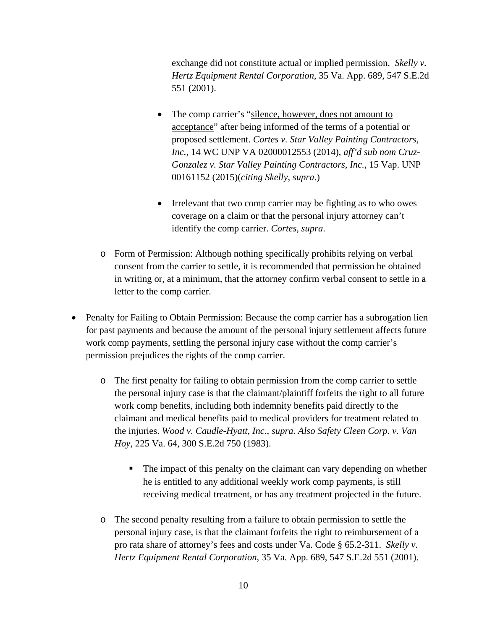exchange did not constitute actual or implied permission. *Skelly v. Hertz Equipment Rental Corporation*, 35 Va. App. 689, 547 S.E.2d 551 (2001).

- The comp carrier's "silence, however, does not amount to acceptance" after being informed of the terms of a potential or proposed settlement. *Cortes v. Star Valley Painting Contractors, Inc.*, 14 WC UNP VA 02000012553 (2014), *aff'd sub nom Cruz-Gonzalez v. Star Valley Painting Contractors, Inc.*, 15 Vap. UNP 00161152 (2015)(*citing Skelly*, *supra*.)
- Irrelevant that two comp carrier may be fighting as to who owes coverage on a claim or that the personal injury attorney can't identify the comp carrier. *Cortes*, *supra*.
- o Form of Permission: Although nothing specifically prohibits relying on verbal consent from the carrier to settle, it is recommended that permission be obtained in writing or, at a minimum, that the attorney confirm verbal consent to settle in a letter to the comp carrier.
- Penalty for Failing to Obtain Permission: Because the comp carrier has a subrogation lien for past payments and because the amount of the personal injury settlement affects future work comp payments, settling the personal injury case without the comp carrier's permission prejudices the rights of the comp carrier.
	- o The first penalty for failing to obtain permission from the comp carrier to settle the personal injury case is that the claimant/plaintiff forfeits the right to all future work comp benefits, including both indemnity benefits paid directly to the claimant and medical benefits paid to medical providers for treatment related to the injuries. *Wood v. Caudle-Hyatt, Inc.*, *supra*. *Also Safety Cleen Corp. v. Van Hoy*, 225 Va. 64, 300 S.E.2d 750 (1983).
		- The impact of this penalty on the claimant can vary depending on whether he is entitled to any additional weekly work comp payments, is still receiving medical treatment, or has any treatment projected in the future.
	- o The second penalty resulting from a failure to obtain permission to settle the personal injury case, is that the claimant forfeits the right to reimbursement of a pro rata share of attorney's fees and costs under Va. Code § 65.2-311. *Skelly v. Hertz Equipment Rental Corporation*, 35 Va. App. 689, 547 S.E.2d 551 (2001).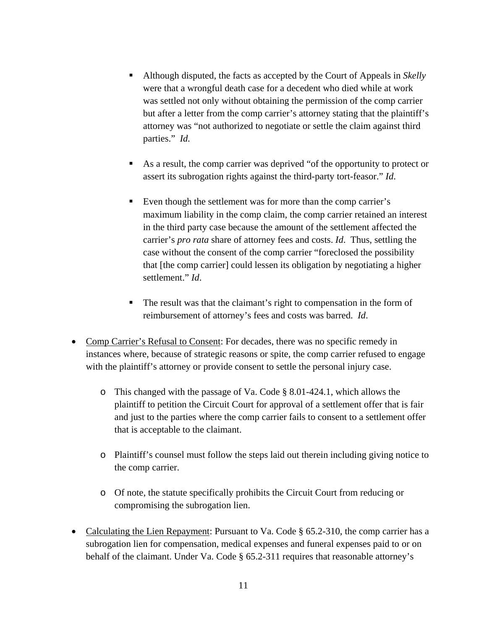- Although disputed, the facts as accepted by the Court of Appeals in *Skelly* were that a wrongful death case for a decedent who died while at work was settled not only without obtaining the permission of the comp carrier but after a letter from the comp carrier's attorney stating that the plaintiff's attorney was "not authorized to negotiate or settle the claim against third parties." *Id.*
- As a result, the comp carrier was deprived "of the opportunity to protect or assert its subrogation rights against the third-party tort-feasor." *Id*.
- Even though the settlement was for more than the comp carrier's maximum liability in the comp claim, the comp carrier retained an interest in the third party case because the amount of the settlement affected the carrier's *pro rata* share of attorney fees and costs. *Id*. Thus, settling the case without the consent of the comp carrier "foreclosed the possibility that [the comp carrier] could lessen its obligation by negotiating a higher settlement." *Id*.
- The result was that the claimant's right to compensation in the form of reimbursement of attorney's fees and costs was barred. *Id*.
- Comp Carrier's Refusal to Consent: For decades, there was no specific remedy in instances where, because of strategic reasons or spite, the comp carrier refused to engage with the plaintiff's attorney or provide consent to settle the personal injury case.
	- o This changed with the passage of Va. Code § 8.01-424.1, which allows the plaintiff to petition the Circuit Court for approval of a settlement offer that is fair and just to the parties where the comp carrier fails to consent to a settlement offer that is acceptable to the claimant.
	- o Plaintiff's counsel must follow the steps laid out therein including giving notice to the comp carrier.
	- o Of note, the statute specifically prohibits the Circuit Court from reducing or compromising the subrogation lien.
- Calculating the Lien Repayment: Pursuant to Va. Code § 65.2-310, the comp carrier has a subrogation lien for compensation, medical expenses and funeral expenses paid to or on behalf of the claimant. Under Va. Code § 65.2-311 requires that reasonable attorney's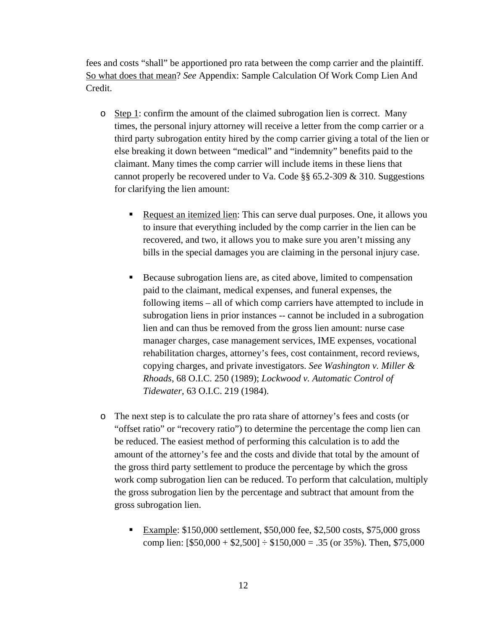fees and costs "shall" be apportioned pro rata between the comp carrier and the plaintiff. So what does that mean? *See* Appendix: Sample Calculation Of Work Comp Lien And Credit.

- o Step 1: confirm the amount of the claimed subrogation lien is correct. Many times, the personal injury attorney will receive a letter from the comp carrier or a third party subrogation entity hired by the comp carrier giving a total of the lien or else breaking it down between "medical" and "indemnity" benefits paid to the claimant. Many times the comp carrier will include items in these liens that cannot properly be recovered under to Va. Code §§ 65.2-309 & 310. Suggestions for clarifying the lien amount:
	- Request an itemized lien: This can serve dual purposes. One, it allows you to insure that everything included by the comp carrier in the lien can be recovered, and two, it allows you to make sure you aren't missing any bills in the special damages you are claiming in the personal injury case.
	- Because subrogation liens are, as cited above, limited to compensation paid to the claimant, medical expenses, and funeral expenses, the following items – all of which comp carriers have attempted to include in subrogation liens in prior instances -- cannot be included in a subrogation lien and can thus be removed from the gross lien amount: nurse case manager charges, case management services, IME expenses, vocational rehabilitation charges, attorney's fees, cost containment, record reviews, copying charges, and private investigators. *See Washington v. Miller & Rhoads*, 68 O.I.C. 250 (1989); *Lockwood v. Automatic Control of Tidewater*, 63 O.I.C. 219 (1984).
- o The next step is to calculate the pro rata share of attorney's fees and costs (or "offset ratio" or "recovery ratio") to determine the percentage the comp lien can be reduced. The easiest method of performing this calculation is to add the amount of the attorney's fee and the costs and divide that total by the amount of the gross third party settlement to produce the percentage by which the gross work comp subrogation lien can be reduced. To perform that calculation, multiply the gross subrogation lien by the percentage and subtract that amount from the gross subrogation lien.
	- **Example:** \$150,000 settlement, \$50,000 fee, \$2,500 costs, \$75,000 gross comp lien:  $[$50,000 + $2,500] \div $150,000 = .35$  (or 35%). Then, \$75,000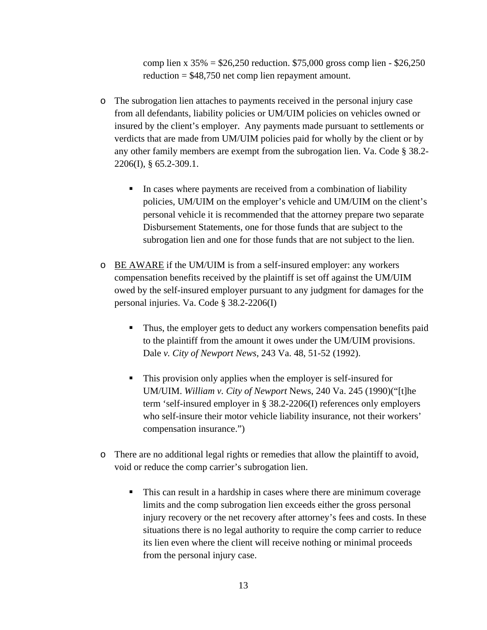comp lien x  $35\% = $26,250$  reduction. \$75,000 gross comp lien - \$26,250 reduction = \$48,750 net comp lien repayment amount.

- o The subrogation lien attaches to payments received in the personal injury case from all defendants, liability policies or UM/UIM policies on vehicles owned or insured by the client's employer. Any payments made pursuant to settlements or verdicts that are made from UM/UIM policies paid for wholly by the client or by any other family members are exempt from the subrogation lien. Va. Code § 38.2- 2206(I), § 65.2-309.1.
	- In cases where payments are received from a combination of liability policies, UM/UIM on the employer's vehicle and UM/UIM on the client's personal vehicle it is recommended that the attorney prepare two separate Disbursement Statements, one for those funds that are subject to the subrogation lien and one for those funds that are not subject to the lien.
- o BE AWARE if the UM/UIM is from a self-insured employer: any workers compensation benefits received by the plaintiff is set off against the UM/UIM owed by the self-insured employer pursuant to any judgment for damages for the personal injuries. Va. Code § 38.2-2206(I)
	- Thus, the employer gets to deduct any workers compensation benefits paid to the plaintiff from the amount it owes under the UM/UIM provisions. Dale *v. City of Newport News*, 243 Va. 48, 51-52 (1992).
	- This provision only applies when the employer is self-insured for UM/UIM. *William v. City of Newport* News, 240 Va. 245 (1990)("[t]he term 'self-insured employer in § 38.2-2206(I) references only employers who self-insure their motor vehicle liability insurance, not their workers' compensation insurance.")
- o There are no additional legal rights or remedies that allow the plaintiff to avoid, void or reduce the comp carrier's subrogation lien.
	- This can result in a hardship in cases where there are minimum coverage limits and the comp subrogation lien exceeds either the gross personal injury recovery or the net recovery after attorney's fees and costs. In these situations there is no legal authority to require the comp carrier to reduce its lien even where the client will receive nothing or minimal proceeds from the personal injury case.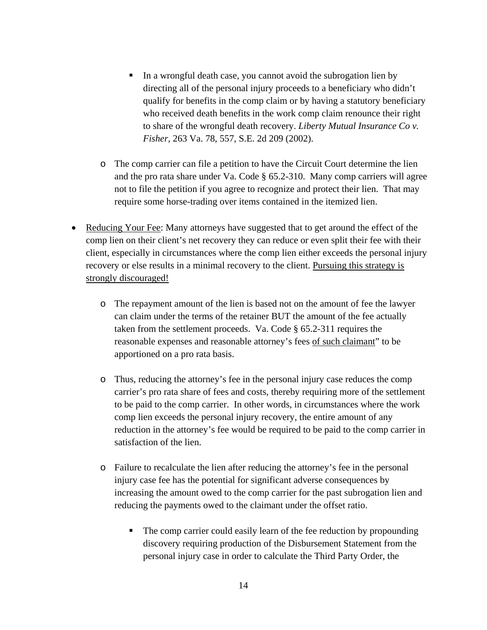- In a wrongful death case, you cannot avoid the subrogation lien by directing all of the personal injury proceeds to a beneficiary who didn't qualify for benefits in the comp claim or by having a statutory beneficiary who received death benefits in the work comp claim renounce their right to share of the wrongful death recovery. *Liberty Mutual Insurance Co v. Fisher*, 263 Va. 78, 557, S.E. 2d 209 (2002).
- o The comp carrier can file a petition to have the Circuit Court determine the lien and the pro rata share under Va. Code § 65.2-310. Many comp carriers will agree not to file the petition if you agree to recognize and protect their lien. That may require some horse-trading over items contained in the itemized lien.
- Reducing Your Fee: Many attorneys have suggested that to get around the effect of the comp lien on their client's net recovery they can reduce or even split their fee with their client, especially in circumstances where the comp lien either exceeds the personal injury recovery or else results in a minimal recovery to the client. Pursuing this strategy is strongly discouraged!
	- o The repayment amount of the lien is based not on the amount of fee the lawyer can claim under the terms of the retainer BUT the amount of the fee actually taken from the settlement proceeds. Va. Code § 65.2-311 requires the reasonable expenses and reasonable attorney's fees of such claimant" to be apportioned on a pro rata basis.
	- o Thus, reducing the attorney's fee in the personal injury case reduces the comp carrier's pro rata share of fees and costs, thereby requiring more of the settlement to be paid to the comp carrier. In other words, in circumstances where the work comp lien exceeds the personal injury recovery, the entire amount of any reduction in the attorney's fee would be required to be paid to the comp carrier in satisfaction of the lien.
	- o Failure to recalculate the lien after reducing the attorney's fee in the personal injury case fee has the potential for significant adverse consequences by increasing the amount owed to the comp carrier for the past subrogation lien and reducing the payments owed to the claimant under the offset ratio.
		- The comp carrier could easily learn of the fee reduction by propounding discovery requiring production of the Disbursement Statement from the personal injury case in order to calculate the Third Party Order, the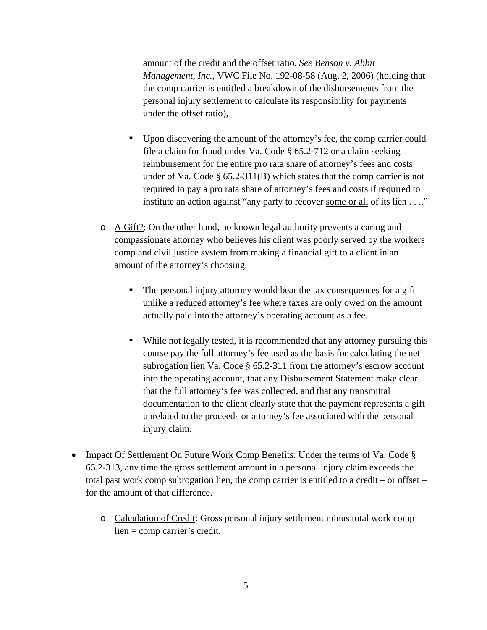amount of the credit and the offset ratio. *See Benson v. Abbit Management, Inc.*, VWC File No. 192-08-58 (Aug. 2, 2006) (holding that the comp carrier is entitled a breakdown of the disbursements from the personal injury settlement to calculate its responsibility for payments under the offset ratio),

- Upon discovering the amount of the attorney's fee, the comp carrier could file a claim for fraud under Va. Code § 65.2-712 or a claim seeking reimbursement for the entire pro rata share of attorney's fees and costs under of Va. Code § 65.2-311(B) which states that the comp carrier is not required to pay a pro rata share of attorney's fees and costs if required to institute an action against "any party to recover some or all of its lien . . .."
- $\circ$  A Gift?: On the other hand, no known legal authority prevents a caring and compassionate attorney who believes his client was poorly served by the workers comp and civil justice system from making a financial gift to a client in an amount of the attorney's choosing.
	- The personal injury attorney would bear the tax consequences for a gift unlike a reduced attorney's fee where taxes are only owed on the amount actually paid into the attorney's operating account as a fee.
	- While not legally tested, it is recommended that any attorney pursuing this course pay the full attorney's fee used as the basis for calculating the net subrogation lien Va. Code § 65.2-311 from the attorney's escrow account into the operating account, that any Disbursement Statement make clear that the full attorney's fee was collected, and that any transmittal documentation to the client clearly state that the payment represents a gift unrelated to the proceeds or attorney's fee associated with the personal injury claim.
- Impact Of Settlement On Future Work Comp Benefits: Under the terms of Va. Code § 65.2-313, any time the gross settlement amount in a personal injury claim exceeds the total past work comp subrogation lien, the comp carrier is entitled to a credit – or offset – for the amount of that difference.
	- o Calculation of Credit: Gross personal injury settlement minus total work comp lien = comp carrier's credit.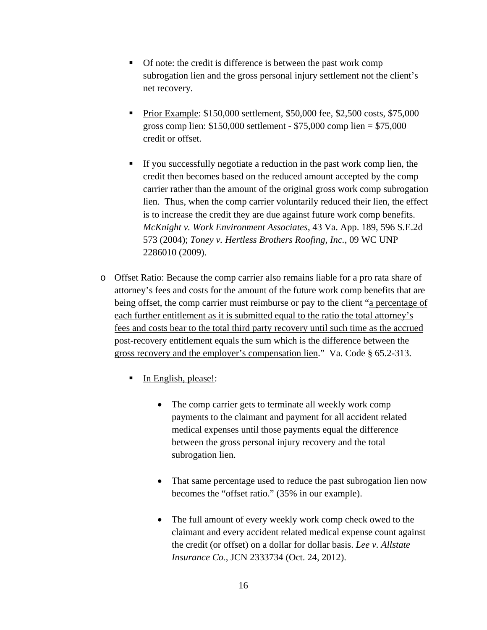- Of note: the credit is difference is between the past work comp subrogation lien and the gross personal injury settlement not the client's net recovery.
- Prior Example: \$150,000 settlement, \$50,000 fee, \$2,500 costs, \$75,000 gross comp lien: \$150,000 settlement - \$75,000 comp lien = \$75,000 credit or offset.
- If you successfully negotiate a reduction in the past work comp lien, the credit then becomes based on the reduced amount accepted by the comp carrier rather than the amount of the original gross work comp subrogation lien. Thus, when the comp carrier voluntarily reduced their lien, the effect is to increase the credit they are due against future work comp benefits. *McKnight v. Work Environment Associates*, 43 Va. App. 189, 596 S.E.2d 573 (2004); *Toney v. Hertless Brothers Roofing, Inc.*, 09 WC UNP 2286010 (2009).
- o Offset Ratio: Because the comp carrier also remains liable for a pro rata share of attorney's fees and costs for the amount of the future work comp benefits that are being offset, the comp carrier must reimburse or pay to the client "a percentage of each further entitlement as it is submitted equal to the ratio the total attorney's fees and costs bear to the total third party recovery until such time as the accrued post-recovery entitlement equals the sum which is the difference between the gross recovery and the employer's compensation lien." Va. Code § 65.2-313.
	- In English, please!:
		- The comp carrier gets to terminate all weekly work comp payments to the claimant and payment for all accident related medical expenses until those payments equal the difference between the gross personal injury recovery and the total subrogation lien.
		- That same percentage used to reduce the past subrogation lien now becomes the "offset ratio." (35% in our example).
		- The full amount of every weekly work comp check owed to the claimant and every accident related medical expense count against the credit (or offset) on a dollar for dollar basis. *Lee v. Allstate Insurance Co.*, JCN 2333734 (Oct. 24, 2012).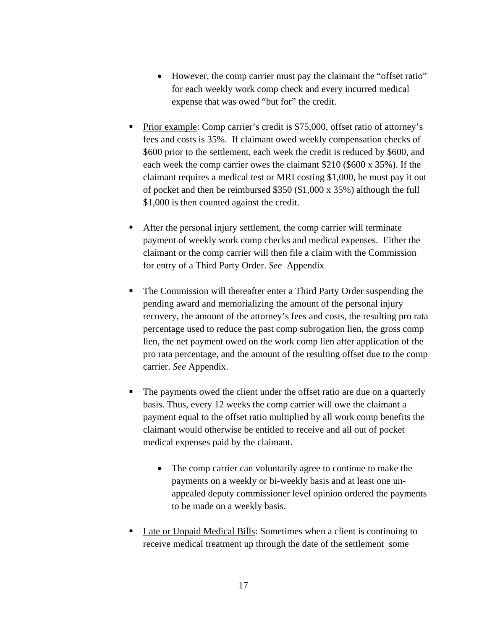- However, the comp carrier must pay the claimant the "offset ratio" for each weekly work comp check and every incurred medical expense that was owed "but for" the credit.
- Prior example: Comp carrier's credit is \$75,000, offset ratio of attorney's fees and costs is 35%. If claimant owed weekly compensation checks of \$600 prior to the settlement, each week the credit is reduced by \$600, and each week the comp carrier owes the claimant \$210 (\$600 x 35%). If the claimant requires a medical test or MRI costing \$1,000, he must pay it out of pocket and then be reimbursed \$350 (\$1,000 x 35%) although the full \$1,000 is then counted against the credit.
- After the personal injury settlement, the comp carrier will terminate payment of weekly work comp checks and medical expenses. Either the claimant or the comp carrier will then file a claim with the Commission for entry of a Third Party Order. *See* Appendix
- The Commission will thereafter enter a Third Party Order suspending the pending award and memorializing the amount of the personal injury recovery, the amount of the attorney's fees and costs, the resulting pro rata percentage used to reduce the past comp subrogation lien, the gross comp lien, the net payment owed on the work comp lien after application of the pro rata percentage, and the amount of the resulting offset due to the comp carrier. *See* Appendix.
- The payments owed the client under the offset ratio are due on a quarterly basis. Thus, every 12 weeks the comp carrier will owe the claimant a payment equal to the offset ratio multiplied by all work comp benefits the claimant would otherwise be entitled to receive and all out of pocket medical expenses paid by the claimant.
	- The comp carrier can voluntarily agree to continue to make the payments on a weekly or bi-weekly basis and at least one unappealed deputy commissioner level opinion ordered the payments to be made on a weekly basis.
- Late or Unpaid Medical Bills: Sometimes when a client is continuing to receive medical treatment up through the date of the settlement some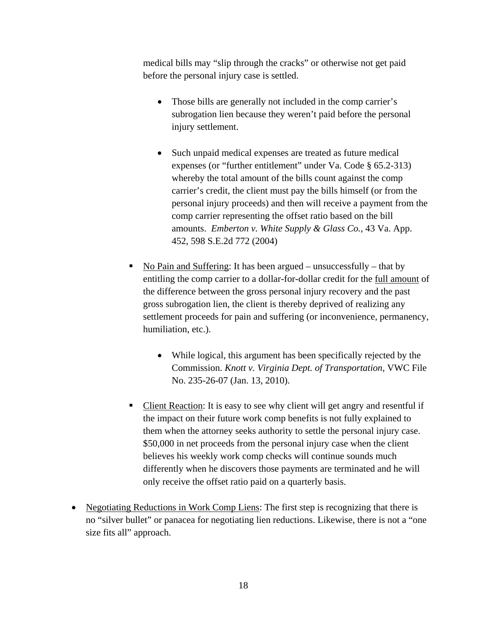medical bills may "slip through the cracks" or otherwise not get paid before the personal injury case is settled.

- Those bills are generally not included in the comp carrier's subrogation lien because they weren't paid before the personal injury settlement.
- Such unpaid medical expenses are treated as future medical expenses (or "further entitlement" under Va. Code § 65.2-313) whereby the total amount of the bills count against the comp carrier's credit, the client must pay the bills himself (or from the personal injury proceeds) and then will receive a payment from the comp carrier representing the offset ratio based on the bill amounts. *Emberton v. White Supply & Glass Co.*, 43 Va. App. 452, 598 S.E.2d 772 (2004)
- No Pain and Suffering: It has been argued unsuccessfully that by entitling the comp carrier to a dollar-for-dollar credit for the full amount of the difference between the gross personal injury recovery and the past gross subrogation lien, the client is thereby deprived of realizing any settlement proceeds for pain and suffering (or inconvenience, permanency, humiliation, etc.).
	- While logical, this argument has been specifically rejected by the Commission. *Knott v. Virginia Dept. of Transportation*, VWC File No. 235-26-07 (Jan. 13, 2010).
- Client Reaction: It is easy to see why client will get angry and resentful if the impact on their future work comp benefits is not fully explained to them when the attorney seeks authority to settle the personal injury case. \$50,000 in net proceeds from the personal injury case when the client believes his weekly work comp checks will continue sounds much differently when he discovers those payments are terminated and he will only receive the offset ratio paid on a quarterly basis.
- Negotiating Reductions in Work Comp Liens: The first step is recognizing that there is no "silver bullet" or panacea for negotiating lien reductions. Likewise, there is not a "one size fits all" approach.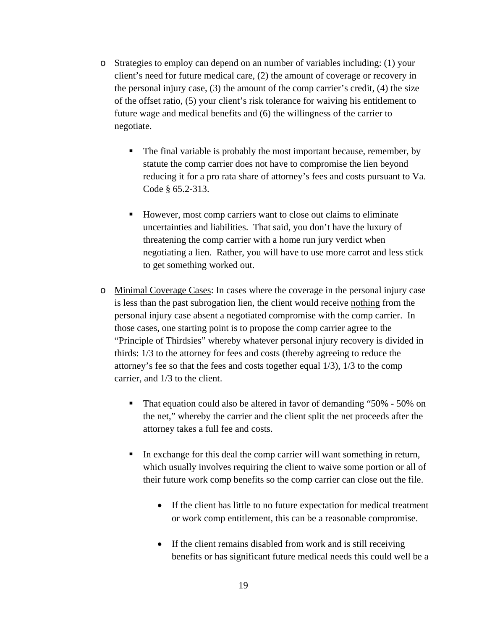- o Strategies to employ can depend on an number of variables including: (1) your client's need for future medical care, (2) the amount of coverage or recovery in the personal injury case,  $(3)$  the amount of the comp carrier's credit,  $(4)$  the size of the offset ratio, (5) your client's risk tolerance for waiving his entitlement to future wage and medical benefits and (6) the willingness of the carrier to negotiate.
	- The final variable is probably the most important because, remember, by statute the comp carrier does not have to compromise the lien beyond reducing it for a pro rata share of attorney's fees and costs pursuant to Va. Code § 65.2-313.
	- However, most comp carriers want to close out claims to eliminate uncertainties and liabilities. That said, you don't have the luxury of threatening the comp carrier with a home run jury verdict when negotiating a lien. Rather, you will have to use more carrot and less stick to get something worked out.
- o Minimal Coverage Cases: In cases where the coverage in the personal injury case is less than the past subrogation lien, the client would receive nothing from the personal injury case absent a negotiated compromise with the comp carrier. In those cases, one starting point is to propose the comp carrier agree to the "Principle of Thirdsies" whereby whatever personal injury recovery is divided in thirds: 1/3 to the attorney for fees and costs (thereby agreeing to reduce the attorney's fee so that the fees and costs together equal 1/3), 1/3 to the comp carrier, and 1/3 to the client.
	- That equation could also be altered in favor of demanding "50% 50% on the net," whereby the carrier and the client split the net proceeds after the attorney takes a full fee and costs.
	- In exchange for this deal the comp carrier will want something in return, which usually involves requiring the client to waive some portion or all of their future work comp benefits so the comp carrier can close out the file.
		- If the client has little to no future expectation for medical treatment or work comp entitlement, this can be a reasonable compromise.
		- If the client remains disabled from work and is still receiving benefits or has significant future medical needs this could well be a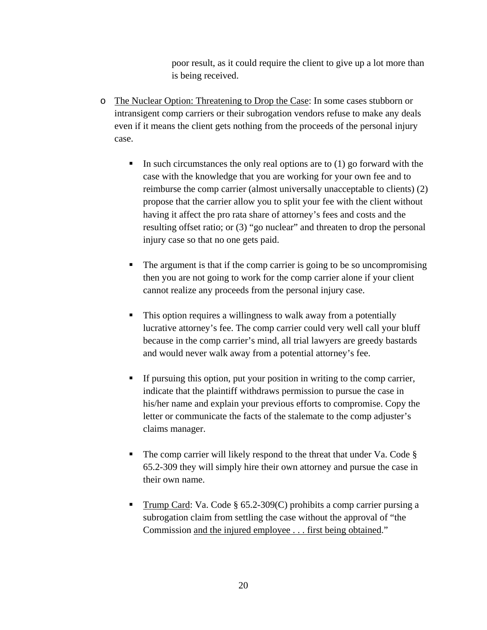poor result, as it could require the client to give up a lot more than is being received.

- o The Nuclear Option: Threatening to Drop the Case: In some cases stubborn or intransigent comp carriers or their subrogation vendors refuse to make any deals even if it means the client gets nothing from the proceeds of the personal injury case.
	- In such circumstances the only real options are to  $(1)$  go forward with the case with the knowledge that you are working for your own fee and to reimburse the comp carrier (almost universally unacceptable to clients) (2) propose that the carrier allow you to split your fee with the client without having it affect the pro rata share of attorney's fees and costs and the resulting offset ratio; or (3) "go nuclear" and threaten to drop the personal injury case so that no one gets paid.
	- The argument is that if the comp carrier is going to be so uncompromising then you are not going to work for the comp carrier alone if your client cannot realize any proceeds from the personal injury case.
	- This option requires a willingness to walk away from a potentially lucrative attorney's fee. The comp carrier could very well call your bluff because in the comp carrier's mind, all trial lawyers are greedy bastards and would never walk away from a potential attorney's fee.
	- If pursuing this option, put your position in writing to the comp carrier, indicate that the plaintiff withdraws permission to pursue the case in his/her name and explain your previous efforts to compromise. Copy the letter or communicate the facts of the stalemate to the comp adjuster's claims manager.
	- The comp carrier will likely respond to the threat that under Va. Code  $\S$ 65.2-309 they will simply hire their own attorney and pursue the case in their own name.
	- **Trump Card: Va. Code § 65.2-309(C) prohibits a comp carrier pursing a** subrogation claim from settling the case without the approval of "the Commission and the injured employee . . . first being obtained."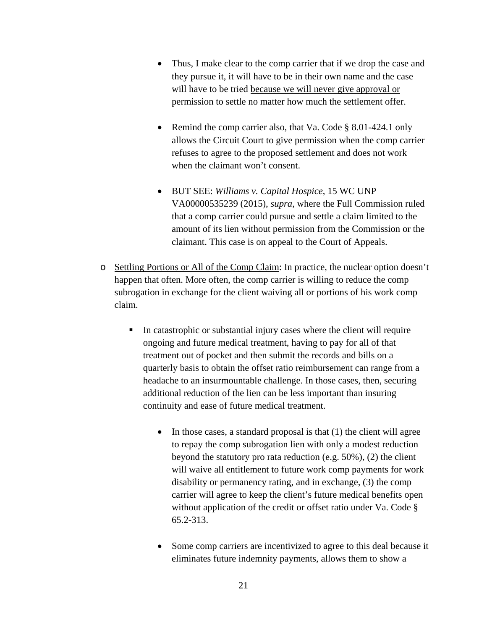- Thus, I make clear to the comp carrier that if we drop the case and they pursue it, it will have to be in their own name and the case will have to be tried because we will never give approval or permission to settle no matter how much the settlement offer.
- Remind the comp carrier also, that Va. Code  $\S$  8.01-424.1 only allows the Circuit Court to give permission when the comp carrier refuses to agree to the proposed settlement and does not work when the claimant won't consent.
- BUT SEE: *Williams v. Capital Hospice*, 15 WC UNP VA00000535239 (2015), *supra*, where the Full Commission ruled that a comp carrier could pursue and settle a claim limited to the amount of its lien without permission from the Commission or the claimant. This case is on appeal to the Court of Appeals.
- o Settling Portions or All of the Comp Claim: In practice, the nuclear option doesn't happen that often. More often, the comp carrier is willing to reduce the comp subrogation in exchange for the client waiving all or portions of his work comp claim.
	- In catastrophic or substantial injury cases where the client will require ongoing and future medical treatment, having to pay for all of that treatment out of pocket and then submit the records and bills on a quarterly basis to obtain the offset ratio reimbursement can range from a headache to an insurmountable challenge. In those cases, then, securing additional reduction of the lien can be less important than insuring continuity and ease of future medical treatment.
		- $\bullet$  In those cases, a standard proposal is that (1) the client will agree to repay the comp subrogation lien with only a modest reduction beyond the statutory pro rata reduction (e.g. 50%), (2) the client will waive all entitlement to future work comp payments for work disability or permanency rating, and in exchange, (3) the comp carrier will agree to keep the client's future medical benefits open without application of the credit or offset ratio under Va. Code § 65.2-313.
		- Some comp carriers are incentivized to agree to this deal because it eliminates future indemnity payments, allows them to show a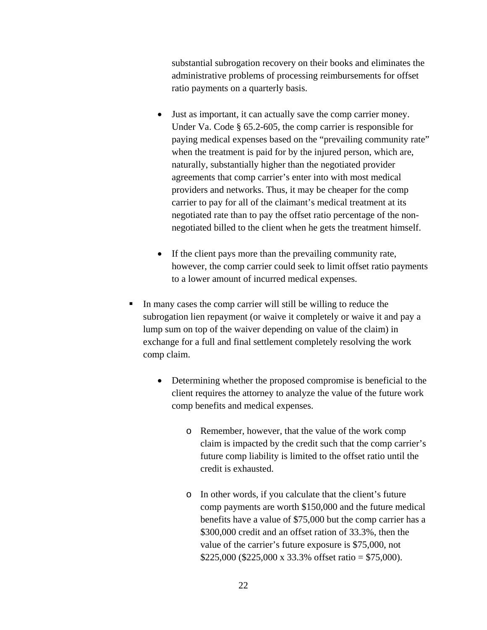substantial subrogation recovery on their books and eliminates the administrative problems of processing reimbursements for offset ratio payments on a quarterly basis.

- Just as important, it can actually save the comp carrier money. Under Va. Code § 65.2-605, the comp carrier is responsible for paying medical expenses based on the "prevailing community rate" when the treatment is paid for by the injured person, which are, naturally, substantially higher than the negotiated provider agreements that comp carrier's enter into with most medical providers and networks. Thus, it may be cheaper for the comp carrier to pay for all of the claimant's medical treatment at its negotiated rate than to pay the offset ratio percentage of the nonnegotiated billed to the client when he gets the treatment himself.
- If the client pays more than the prevailing community rate, however, the comp carrier could seek to limit offset ratio payments to a lower amount of incurred medical expenses.
- In many cases the comp carrier will still be willing to reduce the subrogation lien repayment (or waive it completely or waive it and pay a lump sum on top of the waiver depending on value of the claim) in exchange for a full and final settlement completely resolving the work comp claim.
	- Determining whether the proposed compromise is beneficial to the client requires the attorney to analyze the value of the future work comp benefits and medical expenses.
		- o Remember, however, that the value of the work comp claim is impacted by the credit such that the comp carrier's future comp liability is limited to the offset ratio until the credit is exhausted.
		- o In other words, if you calculate that the client's future comp payments are worth \$150,000 and the future medical benefits have a value of \$75,000 but the comp carrier has a \$300,000 credit and an offset ration of 33.3%, then the value of the carrier's future exposure is \$75,000, not \$225,000 (\$225,000 x 33.3% offset ratio = \$75,000).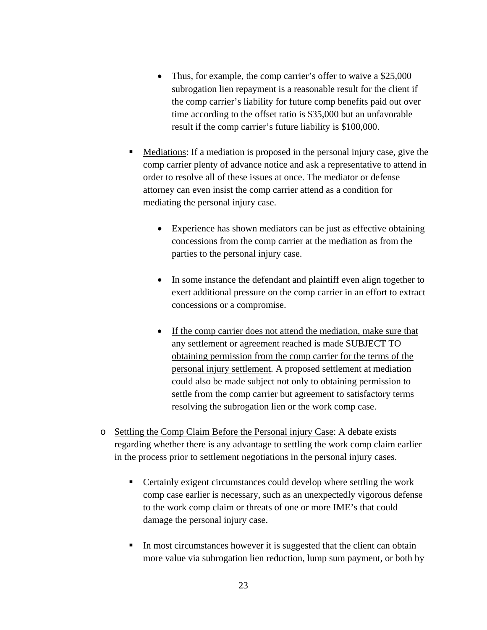- Thus, for example, the comp carrier's offer to waive a \$25,000 subrogation lien repayment is a reasonable result for the client if the comp carrier's liability for future comp benefits paid out over time according to the offset ratio is \$35,000 but an unfavorable result if the comp carrier's future liability is \$100,000.
- Mediations: If a mediation is proposed in the personal injury case, give the comp carrier plenty of advance notice and ask a representative to attend in order to resolve all of these issues at once. The mediator or defense attorney can even insist the comp carrier attend as a condition for mediating the personal injury case.
	- Experience has shown mediators can be just as effective obtaining concessions from the comp carrier at the mediation as from the parties to the personal injury case.
	- In some instance the defendant and plaintiff even align together to exert additional pressure on the comp carrier in an effort to extract concessions or a compromise.
	- If the comp carrier does not attend the mediation, make sure that any settlement or agreement reached is made SUBJECT TO obtaining permission from the comp carrier for the terms of the personal injury settlement. A proposed settlement at mediation could also be made subject not only to obtaining permission to settle from the comp carrier but agreement to satisfactory terms resolving the subrogation lien or the work comp case.
- o Settling the Comp Claim Before the Personal injury Case: A debate exists regarding whether there is any advantage to settling the work comp claim earlier in the process prior to settlement negotiations in the personal injury cases.
	- Certainly exigent circumstances could develop where settling the work comp case earlier is necessary, such as an unexpectedly vigorous defense to the work comp claim or threats of one or more IME's that could damage the personal injury case.
	- In most circumstances however it is suggested that the client can obtain more value via subrogation lien reduction, lump sum payment, or both by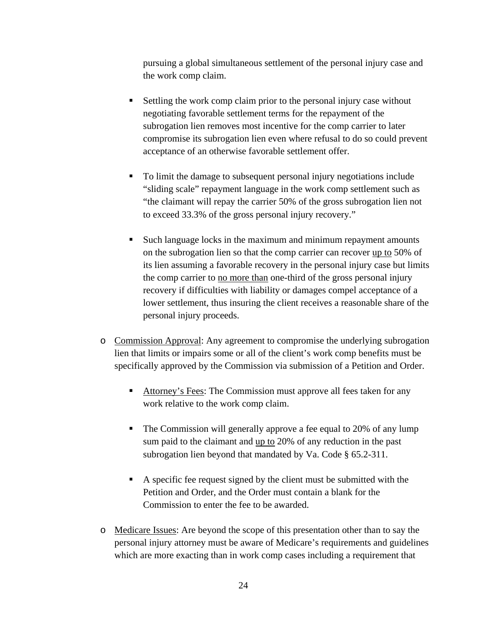pursuing a global simultaneous settlement of the personal injury case and the work comp claim.

- Settling the work comp claim prior to the personal injury case without negotiating favorable settlement terms for the repayment of the subrogation lien removes most incentive for the comp carrier to later compromise its subrogation lien even where refusal to do so could prevent acceptance of an otherwise favorable settlement offer.
- To limit the damage to subsequent personal injury negotiations include "sliding scale" repayment language in the work comp settlement such as "the claimant will repay the carrier 50% of the gross subrogation lien not to exceed 33.3% of the gross personal injury recovery."
- Such language locks in the maximum and minimum repayment amounts on the subrogation lien so that the comp carrier can recover up to 50% of its lien assuming a favorable recovery in the personal injury case but limits the comp carrier to no more than one-third of the gross personal injury recovery if difficulties with liability or damages compel acceptance of a lower settlement, thus insuring the client receives a reasonable share of the personal injury proceeds.
- o Commission Approval: Any agreement to compromise the underlying subrogation lien that limits or impairs some or all of the client's work comp benefits must be specifically approved by the Commission via submission of a Petition and Order.
	- Attorney's Fees: The Commission must approve all fees taken for any work relative to the work comp claim.
	- The Commission will generally approve a fee equal to 20% of any lump sum paid to the claimant and <u>up to</u> 20% of any reduction in the past subrogation lien beyond that mandated by Va. Code § 65.2-311.
	- A specific fee request signed by the client must be submitted with the Petition and Order, and the Order must contain a blank for the Commission to enter the fee to be awarded.
- o Medicare Issues: Are beyond the scope of this presentation other than to say the personal injury attorney must be aware of Medicare's requirements and guidelines which are more exacting than in work comp cases including a requirement that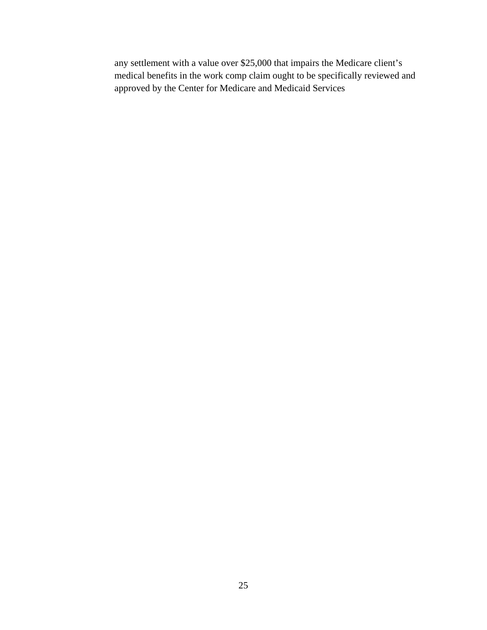any settlement with a value over \$25,000 that impairs the Medicare client's medical benefits in the work comp claim ought to be specifically reviewed and approved by the Center for Medicare and Medicaid Services